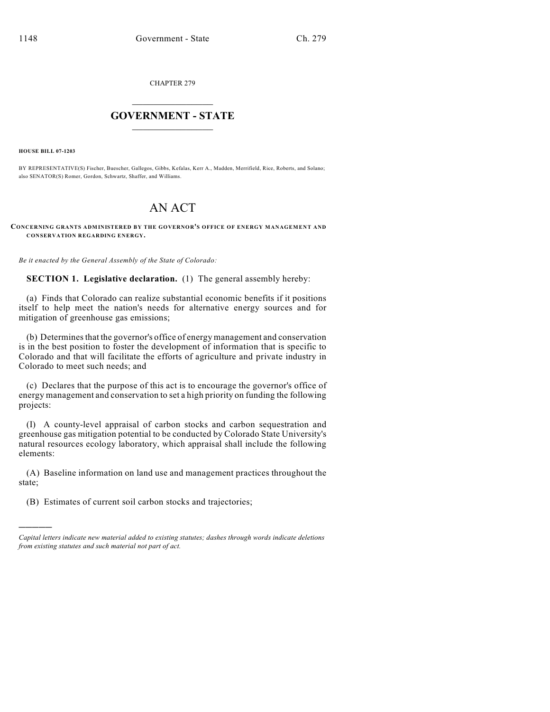CHAPTER 279

## $\overline{\phantom{a}}$  . The set of the set of the set of the set of the set of the set of the set of the set of the set of the set of the set of the set of the set of the set of the set of the set of the set of the set of the set o **GOVERNMENT - STATE**  $\_$

**HOUSE BILL 07-1203**

)))))

BY REPRESENTATIVE(S) Fischer, Buescher, Gallegos, Gibbs, Kefalas, Kerr A., Madden, Merrifield, Rice, Roberts, and Solano; also SENATOR(S) Romer, Gordon, Schwartz, Shaffer, and Williams.

## AN ACT

## **CONCERNING GRANTS ADMINISTERED BY THE GOVERNOR'S OFFICE OF ENERGY MANAGEMENT AND CONSERVATION REGARDING ENERGY.**

*Be it enacted by the General Assembly of the State of Colorado:*

**SECTION 1. Legislative declaration.** (1) The general assembly hereby:

(a) Finds that Colorado can realize substantial economic benefits if it positions itself to help meet the nation's needs for alternative energy sources and for mitigation of greenhouse gas emissions;

(b) Determines that the governor's office of energy management and conservation is in the best position to foster the development of information that is specific to Colorado and that will facilitate the efforts of agriculture and private industry in Colorado to meet such needs; and

(c) Declares that the purpose of this act is to encourage the governor's office of energy management and conservation to set a high priority on funding the following projects:

(I) A county-level appraisal of carbon stocks and carbon sequestration and greenhouse gas mitigation potential to be conducted by Colorado State University's natural resources ecology laboratory, which appraisal shall include the following elements:

(A) Baseline information on land use and management practices throughout the state;

(B) Estimates of current soil carbon stocks and trajectories;

*Capital letters indicate new material added to existing statutes; dashes through words indicate deletions from existing statutes and such material not part of act.*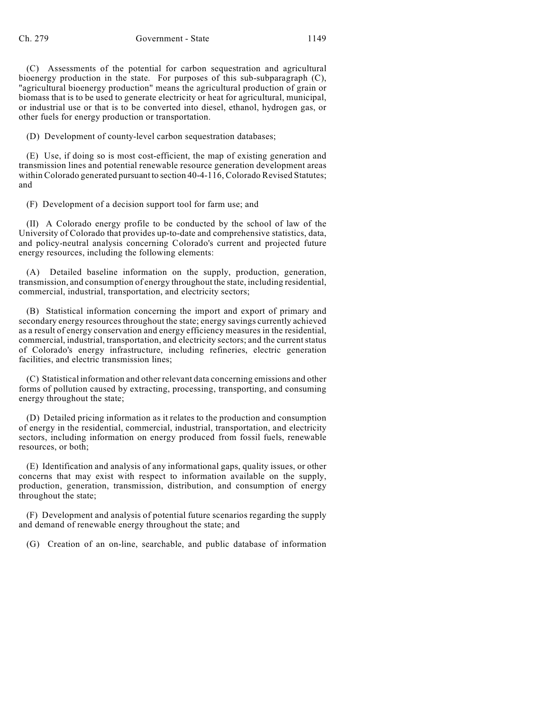(C) Assessments of the potential for carbon sequestration and agricultural bioenergy production in the state. For purposes of this sub-subparagraph (C), "agricultural bioenergy production" means the agricultural production of grain or biomass that is to be used to generate electricity or heat for agricultural, municipal, or industrial use or that is to be converted into diesel, ethanol, hydrogen gas, or other fuels for energy production or transportation.

(D) Development of county-level carbon sequestration databases;

(E) Use, if doing so is most cost-efficient, the map of existing generation and transmission lines and potential renewable resource generation development areas within Colorado generated pursuant to section 40-4-116, Colorado Revised Statutes; and

(F) Development of a decision support tool for farm use; and

(II) A Colorado energy profile to be conducted by the school of law of the University of Colorado that provides up-to-date and comprehensive statistics, data, and policy-neutral analysis concerning Colorado's current and projected future energy resources, including the following elements:

(A) Detailed baseline information on the supply, production, generation, transmission, and consumption of energy throughout the state, including residential, commercial, industrial, transportation, and electricity sectors;

(B) Statistical information concerning the import and export of primary and secondary energy resources throughout the state; energy savings currently achieved as a result of energy conservation and energy efficiency measures in the residential, commercial, industrial, transportation, and electricity sectors; and the current status of Colorado's energy infrastructure, including refineries, electric generation facilities, and electric transmission lines;

(C) Statistical information and other relevant data concerning emissions and other forms of pollution caused by extracting, processing, transporting, and consuming energy throughout the state;

(D) Detailed pricing information as it relates to the production and consumption of energy in the residential, commercial, industrial, transportation, and electricity sectors, including information on energy produced from fossil fuels, renewable resources, or both;

(E) Identification and analysis of any informational gaps, quality issues, or other concerns that may exist with respect to information available on the supply, production, generation, transmission, distribution, and consumption of energy throughout the state;

(F) Development and analysis of potential future scenarios regarding the supply and demand of renewable energy throughout the state; and

(G) Creation of an on-line, searchable, and public database of information